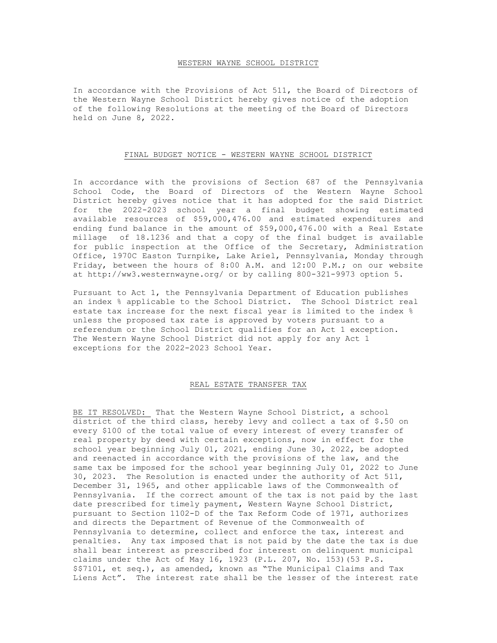## WESTERN WAYNE SCHOOL DISTRICT

In accordance with the Provisions of Act 511, the Board of Directors of the Western Wayne School District hereby gives notice of the adoption of the following Resolutions at the meeting of the Board of Directors held on June 8, 2022.

## FINAL BUDGET NOTICE - WESTERN WAYNE SCHOOL DISTRICT

In accordance with the provisions of Section 687 of the Pennsylvania School Code, the Board of Directors of the Western Wayne School District hereby gives notice that it has adopted for the said District for the 2022-2023 school year a final budget showing estimated available resources of \$59,000,476.00 and estimated expenditures and ending fund balance in the amount of \$59,000,476.00 with a Real Estate millage of 18.1236 and that a copy of the final budget is available for public inspection at the Office of the Secretary, Administration Office, 1970C Easton Turnpike, Lake Ariel, Pennsylvania, Monday through Friday, between the hours of 8:00 A.M. and 12:00 P.M.; on our website at http://ww3.westernwayne.org/ or by calling 800-321-9973 option 5.

Pursuant to Act 1, the Pennsylvania Department of Education publishes an index % applicable to the School District. The School District real estate tax increase for the next fiscal year is limited to the index % unless the proposed tax rate is approved by voters pursuant to a referendum or the School District qualifies for an Act 1 exception. The Western Wayne School District did not apply for any Act 1 exceptions for the 2022-2023 School Year.

## REAL ESTATE TRANSFER TAX

BE IT RESOLVED: That the Western Wayne School District, a school district of the third class, hereby levy and collect a tax of \$.50 on every \$100 of the total value of every interest of every transfer of real property by deed with certain exceptions, now in effect for the school year beginning July 01, 2021, ending June 30, 2022, be adopted and reenacted in accordance with the provisions of the law, and the same tax be imposed for the school year beginning July 01, 2022 to June 30, 2023. The Resolution is enacted under the authority of Act 511, December 31, 1965, and other applicable laws of the Commonwealth of Pennsylvania. If the correct amount of the tax is not paid by the last date prescribed for timely payment, Western Wayne School District, pursuant to Section 1102-D of the Tax Reform Code of 1971, authorizes and directs the Department of Revenue of the Commonwealth of Pennsylvania to determine, collect and enforce the tax, interest and penalties. Any tax imposed that is not paid by the date the tax is due shall bear interest as prescribed for interest on delinquent municipal claims under the Act of May 16, 1923 (P.L. 207, No. 153)(53 P.S. \$\$7101, et seq.), as amended, known as "The Municipal Claims and Tax Liens Act". The interest rate shall be the lesser of the interest rate